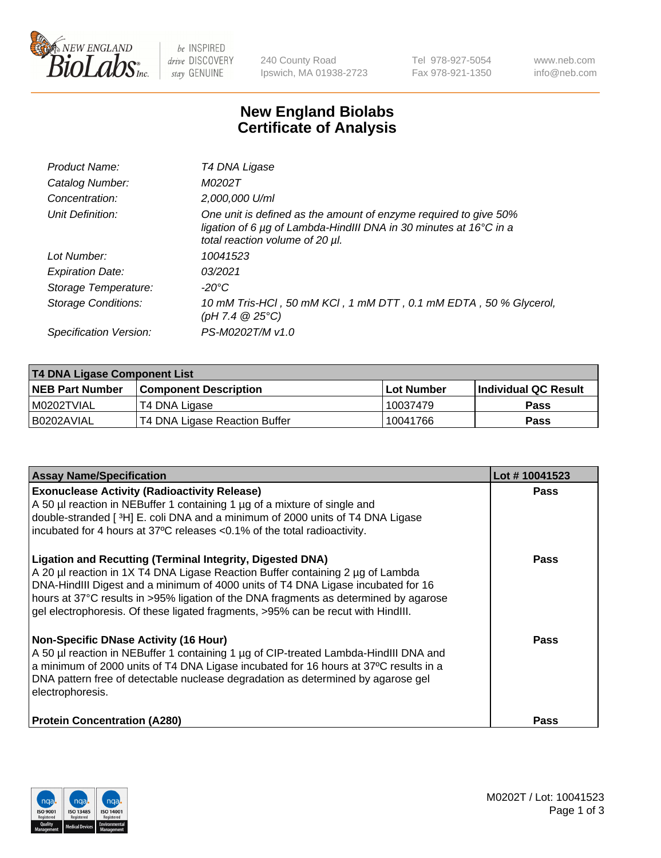

 $be$  INSPIRED drive DISCOVERY stay GENUINE

240 County Road Ipswich, MA 01938-2723 Tel 978-927-5054 Fax 978-921-1350 www.neb.com info@neb.com

## **New England Biolabs Certificate of Analysis**

| Product Name:              | T4 DNA Ligase                                                                                                                                                                           |
|----------------------------|-----------------------------------------------------------------------------------------------------------------------------------------------------------------------------------------|
| Catalog Number:            | M0202T                                                                                                                                                                                  |
| Concentration:             | 2,000,000 U/ml                                                                                                                                                                          |
| Unit Definition:           | One unit is defined as the amount of enzyme required to give 50%<br>ligation of 6 $\mu$ g of Lambda-HindIII DNA in 30 minutes at 16 $\degree$ C in a<br>total reaction volume of 20 µl. |
| Lot Number:                | 10041523                                                                                                                                                                                |
| <b>Expiration Date:</b>    | 03/2021                                                                                                                                                                                 |
| Storage Temperature:       | -20°C                                                                                                                                                                                   |
| <b>Storage Conditions:</b> | 10 mM Tris-HCl, 50 mM KCl, 1 mM DTT, 0.1 mM EDTA, 50 % Glycerol,<br>(pH 7.4 $@25°C$ )                                                                                                   |
| Specification Version:     | PS-M0202T/M v1.0                                                                                                                                                                        |

| T4 DNA Ligase Component List |                               |              |                             |  |  |
|------------------------------|-------------------------------|--------------|-----------------------------|--|--|
| <b>NEB Part Number</b>       | l Component Description       | l Lot Number | <b>Individual QC Result</b> |  |  |
| I M0202TVIAL                 | T4 DNA Ligase                 | 10037479     | <b>Pass</b>                 |  |  |
| I B0202AVIAL                 | T4 DNA Ligase Reaction Buffer | 10041766     | <b>Pass</b>                 |  |  |

| <b>Assay Name/Specification</b>                                                                                                                                                                                                                                                                                                                                                                                    | Lot #10041523 |
|--------------------------------------------------------------------------------------------------------------------------------------------------------------------------------------------------------------------------------------------------------------------------------------------------------------------------------------------------------------------------------------------------------------------|---------------|
| <b>Exonuclease Activity (Radioactivity Release)</b><br>A 50 µl reaction in NEBuffer 1 containing 1 µg of a mixture of single and<br>double-stranded [3H] E. coli DNA and a minimum of 2000 units of T4 DNA Ligase<br>incubated for 4 hours at 37°C releases <0.1% of the total radioactivity.                                                                                                                      | <b>Pass</b>   |
| <b>Ligation and Recutting (Terminal Integrity, Digested DNA)</b><br>A 20 µl reaction in 1X T4 DNA Ligase Reaction Buffer containing 2 µg of Lambda<br>DNA-HindIII Digest and a minimum of 4000 units of T4 DNA Ligase incubated for 16<br>hours at 37°C results in >95% ligation of the DNA fragments as determined by agarose<br>gel electrophoresis. Of these ligated fragments, >95% can be recut with HindIII. | <b>Pass</b>   |
| <b>Non-Specific DNase Activity (16 Hour)</b><br>A 50 µl reaction in NEBuffer 1 containing 1 µg of CIP-treated Lambda-HindIII DNA and<br>a minimum of 2000 units of T4 DNA Ligase incubated for 16 hours at 37°C results in a<br>DNA pattern free of detectable nuclease degradation as determined by agarose gel<br>electrophoresis.                                                                               | Pass          |
| <b>Protein Concentration (A280)</b>                                                                                                                                                                                                                                                                                                                                                                                | Pass          |

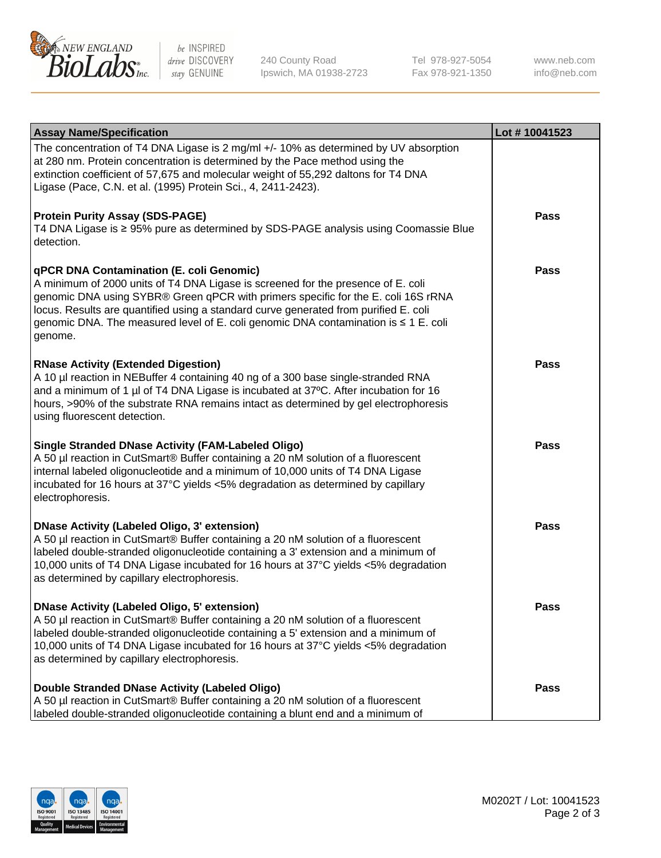

be INSPIRED drive DISCOVERY stay GENUINE

240 County Road Ipswich, MA 01938-2723 Tel 978-927-5054 Fax 978-921-1350

www.neb.com info@neb.com

| <b>Assay Name/Specification</b>                                                                                                                                                                                                                                                                                                                                                                             | Lot #10041523 |
|-------------------------------------------------------------------------------------------------------------------------------------------------------------------------------------------------------------------------------------------------------------------------------------------------------------------------------------------------------------------------------------------------------------|---------------|
| The concentration of T4 DNA Ligase is 2 mg/ml +/- 10% as determined by UV absorption<br>at 280 nm. Protein concentration is determined by the Pace method using the<br>extinction coefficient of 57,675 and molecular weight of 55,292 daltons for T4 DNA<br>Ligase (Pace, C.N. et al. (1995) Protein Sci., 4, 2411-2423).                                                                                  |               |
| <b>Protein Purity Assay (SDS-PAGE)</b><br>T4 DNA Ligase is ≥ 95% pure as determined by SDS-PAGE analysis using Coomassie Blue<br>detection.                                                                                                                                                                                                                                                                 | <b>Pass</b>   |
| qPCR DNA Contamination (E. coli Genomic)<br>A minimum of 2000 units of T4 DNA Ligase is screened for the presence of E. coli<br>genomic DNA using SYBR® Green qPCR with primers specific for the E. coli 16S rRNA<br>locus. Results are quantified using a standard curve generated from purified E. coli<br>genomic DNA. The measured level of E. coli genomic DNA contamination is ≤ 1 E. coli<br>genome. | <b>Pass</b>   |
| <b>RNase Activity (Extended Digestion)</b><br>A 10 µl reaction in NEBuffer 4 containing 40 ng of a 300 base single-stranded RNA<br>and a minimum of 1 µl of T4 DNA Ligase is incubated at 37°C. After incubation for 16<br>hours, >90% of the substrate RNA remains intact as determined by gel electrophoresis<br>using fluorescent detection.                                                             | Pass          |
| <b>Single Stranded DNase Activity (FAM-Labeled Oligo)</b><br>A 50 µl reaction in CutSmart® Buffer containing a 20 nM solution of a fluorescent<br>internal labeled oligonucleotide and a minimum of 10,000 units of T4 DNA Ligase<br>incubated for 16 hours at 37°C yields <5% degradation as determined by capillary<br>electrophoresis.                                                                   | <b>Pass</b>   |
| <b>DNase Activity (Labeled Oligo, 3' extension)</b><br>A 50 µl reaction in CutSmart® Buffer containing a 20 nM solution of a fluorescent<br>labeled double-stranded oligonucleotide containing a 3' extension and a minimum of<br>10,000 units of T4 DNA Ligase incubated for 16 hours at 37°C yields <5% degradation<br>as determined by capillary electrophoresis.                                        | <b>Pass</b>   |
| <b>DNase Activity (Labeled Oligo, 5' extension)</b><br>A 50 µl reaction in CutSmart® Buffer containing a 20 nM solution of a fluorescent<br>labeled double-stranded oligonucleotide containing a 5' extension and a minimum of<br>10,000 units of T4 DNA Ligase incubated for 16 hours at 37°C yields <5% degradation<br>as determined by capillary electrophoresis.                                        | <b>Pass</b>   |
| Double Stranded DNase Activity (Labeled Oligo)<br>A 50 µl reaction in CutSmart® Buffer containing a 20 nM solution of a fluorescent<br>labeled double-stranded oligonucleotide containing a blunt end and a minimum of                                                                                                                                                                                      | Pass          |